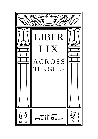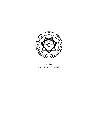

A∴A∴ Publication in Class C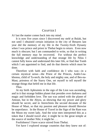## CHAPTER I

AT last the matter comes back into my mind.

It is now five years since I discovered my stelé at Bulak, but not until I obtained certain initiation in the city of Benares last year did the memory of my life in the Twenty-Sixth Dynasty when I was prince and priest in Thebai begin to return. Even now much is obscure; but I am commanded to write, so that in writing the full memory may be recovered. For without the perfect knowledge and understanding of that strange life by Nilus I cannot fully know and understand this later life, or find that Tomb which I am appointed to find, and do that therein which must be done.

Therefore with faith and confidence do I who was—in a certain mystical sense—the Priest of the Princes, Ankh-f-nakhonsu, child of Ta-nech, the holy and mighty one, and of Bes-na-Maut, priestess of the Starry One, set myself to tell myself the strange things that befell me in that life.

Thus.

At my birth Aphruimis in the sign of the Lion was ascending, and in it that strange hidden planet that presides over darkness and magic and forbidden love. The sun was united with the planet of Amoun, but in the Abyss, as showing that my power and glory should be secret, and in Aterechinis the second decanate of the House of Maat, so that my passion and pleasure should likewise be unprofance. In the House of Travel in the Sign of the Ram was the Moon my sweet lady. And the wise men interpreted this as a token that I should travel afar; it might be to the great temple at the source of mother Nile; it might be . . .

Foolishness! I have scarce stirred from Thebai.

Yet have I explored strange countries that they knew not of: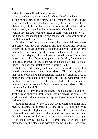and of this also will I tell in due course.

I remember—as I never could while I lived in Khemi-land all the minute care of my birth. For my mother was of the oldest house in Thebes, her blood not only royal, but mixed with the divine. Fifty virgins in their silver tissue stood about her shaking their sistrons, as if the laughter of the Gods echoed the cries of the woman. By the bed stood the Priest of Horus with his heavy staff, the Phoenix for its head, the prong for its foot. Watchful he stood lest Sebek should rise from the abyss.

On the roof of the palace watched the three chief astrologers of Pharaoh with their instruments, and four armed men from the corners of the tower announced each god as it rose. So these three men ached and sweated at their task; for they had become most anxious. All day my birth had been expected; but as Toum drew to His setting their faces grew paler than the sky; for there was one dread moment in the night which all their art had failed to judge. The gods that watched over it were veiled.

But it seemed unlikely that Fate would so decide; yet so they feared that they sent down to the priest of Thoth to say that he must at all costs avoid the threatening moment, even if the lives of mother and child should pay for it; and still the watchmen cried the hour. Now, now! cried the oldest of the astrologers as the moment grew near—now! Below in answer the priest of Thoth summoned all his skill.

When lo! a rumbling of the abyss. The palace reeled and fell; Typhon rose mighty in destruction, striding across the skies. The world rocked with earthquake; every star broke from its fastening and trembled.

And in the midst lo! Bes-na-Maut my mother; and in her arms myself, laughing in the midst of all that ruin. Yet not one living creature took the slightest hurt! But the astrologers rent their robes and beat their faces on the ground; for the dread moment, the Unknown Terror, had gone by; and with it I had come to light.

In their terror, indeed, as I learnt long after, they sent messengers to the oldest and wisest of the priests; the High-priest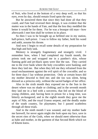of Nuit, who lived at the bottom of a very deep well, so that his eyes, even by day, should remain fixed upon the stars.

But he answered them that since they had done all that they could, and Fate had reversed their design, it was evident that the matter was in the hands of Fate, and that the less they meddled the better it would be for them. For he was a brusque old man—how afterwards I met him shall be written in its place.

So then I was to be brought up as befitted one in my station, half-prince, half-priest. I was to follow my father, hold his wand and ankh, assume his throne.

And now I begin to recall some details of my preparation for that high and holy task.

Memory is strangely fragmentary and strangely vivid. I remember how, when I had completed my fourth month, the priests took me and wrapped me in a panther's skin, whose flaming gold and jet-black spots were like the sun. They carried me to the river bank where the holy crocodiles were basking; and there they laid me. But when they left me they refrained from the usual enchauntment against the evil spirit of the crocodile; and so for three days I lay without protection. Only at certain hours did my mother descend to feed me; and she too was silent, being dressed as a princess only, without the sacred badges of her office.

Also in the sixth month they exposed me to the Sun in the desert where was no shade or clothing; and in the seventh month they laid me in a bed with a sorceress, that fed on the blood of young children, and, having been in prison for a long time, was bitterly an-hungered; and in the eighth month they gave me the aspic of Nile, and the royal Uraeus serpent, and the deadly snake of the south country, for playmates; but I passed scatheless through all these trials.

And in the ninth month I was weaned, and my mother bade me farewell, for never again might she look upon my face, save in the secret rites of the Gods, when we should meet otherwise than as babe and mother, in the garment of that Second Birth which we of Khemi knew.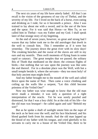The next six years of my life have utterly faded. All that I can recall is the vision of the greatness of our city of Thebai, and the severity of my life. For I lived on the back of a horse, even eating and drinking as I rode; for so it becometh a prince. Also I was trained to lay about me with a sword, and in the use of the bow and the spear. For it was said that Horus—or Men Tu, as we called him in Thebai—was my Father and my God. I shall speak later of that strange story of my begetting.

At the end of seven years, however, so great and strong had I waxen that my father took me to the old astrologer that dwelt in the well to consult him. This I remember as if it were but yesterday. The journey down the great river with its slow days! The creaking benches and the sweat of the slaves are still in my ears and my nostrils. Then swift moments of flying foam in some rapid or cataract. The great temples that we passed; the solitary Ibis of Thoth that meditated on the shore; the crimson flights of birds;—but nothing that we saw upon the journey was like unto the end thereof. For in a desolate place was the Well, with but a small temple beside it, where the servants—they too most holy! of that holy ancient man might dwell.

And my father brought me to the mouth of the well and called thrice upon the name of Nuit. Then came a voice climbing and coiling up the walls like a serpent, "Let this child become priestess of the Veiled One!"

Now my father was wise enough to know that the old man never made a mistake; it was only a question of a right interpretation of the oracle. Yet he was sorely puzzled and distressed, for that I was a boy child. So at the risk of his life—for the old man was brusque!—he called again and said "Behold my son!"

But as he spoke a shaft of sunlight smote him on the nape of the neck as he bent over the well; and his face blackened, and his blood gushed forth from his mouth. And the old man lapped up the blood of my father with his tongue, and cried gleefully to his servants to carry me to a house of the Veiled One, there to be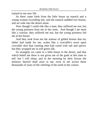trained in my new life.

So there came forth from the little house an eunuch and a young woman exceeding fair; and the eunuch saddled two horses, and we rode into the desert alone.

Now though I could ride like a man, they suffered me not; but the young priestess bore me in her arms. And though I ate meat like a warrior, they suffered me not, but the young priestess fed me at her breast.

And they took from me the armour of gilded bronze that my father had made for me, scales like a crocodile's sewn upon crocodile skin that cunning men had cured with salt and spices; but they wrapped me in soft green silk.

So strangely we came to a little house in the desert, and that which befell me there is not given me of the gods at this time to tell; but I will sleep; and in the morning by their favour the memory thereof shall arise in me, even in me across these thousands of years of the whirling of the earth in her course.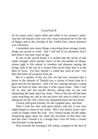### CHAPTER II

So for many years I grew sleek and subtle in my woman's attire. And the old eunuch (who was very wise) instructed me in the Art of Magic and in the worship of the Veiled One, whose priestess was I destined.

I remember now many things concerning those strange rituals, things too sacred to write. But I will tell of an adventure that I had when I was nine years of age.

In one of the sacred books it is written that the secret of that subtle draught which giveth vision of the star-abodes of Duant, whose sight is life eternal in freedom and pleasure among the living, lieth in the use of a certain little secret bone that is in the Bear of Syria. Yet how should I a child slay such an one? For they had taken all weapons from me.

But in a garden of the city (for we had now returned unto a house in the suburbs of Thebai) was a colony of bears kept by a great lord for his pleasure. And I by my cunning enticed a young bear-cub from its dam, and slew it with a great stone. Then I tore off its skin and hid myself therein, taking also its jaw and sharpening the same upon my stone. Then at last the old she-bear came searching me, and as she put down her nose to smell at me, taking me for her cub, I drove my sharpened bone into her throat.

I struck with great fortune; for she coughed once, and died.

Then I took her skin with great labour; and (for it was now night) began to return to my house. But I was utterly weary and I could no longer climb the wall. Yet I stayed awake all that night, sharpening again upon my stone the jaw-bone of that bear-cub; and this time I bound it to a bough that I tore off from a certain tree that grew in the garden.

Now towards the morning I fell asleep, wrapped in the skin of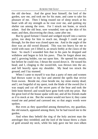the old she-bear. And the great bear himself, the lord of the garden, saw me, and took me for his mate, and came to take his pleasure of me. Then I being roused out of sleep struck at his heart with all my strength as he rose over me, and quitting my shelter ran among the trees. For I struck not home, or struck aslant. And the old bear, sore wounded, tore up the skin of his mate; and then, discovering the cheat, came after me.

But by good fortune I found and wedged myself into a narrow pylon, too deep for him to reach me, though I could not go through, for the door was closed upon me. And in the angle of the door was an old sword disused. This was too heavy for me to wield with ease; yet I lifted it, an struck feebly at the claws of the bear. So much I wounded him that in his pain he dropped and withdrew and began to lick his paws. Thus he forgot about me; and I, growing bolder, ran out upon him. He opened his mouth; but before he could rise, I thrust the sword down it. He tossed his head; and I, clinging to the sword-hilt, was thrown into the air, and fell heavily upon my shoulder. My head too struck the ground; and I lay stunned.

When I came to myself it was that a party of men and women had thrown water in my face and uttered the spells that revive from swoon. Beside me, close beside me, lay mine enemy dead; and I, not forgetful of my quest, took the blade of the sword (for it was snapt) and cut off the secret parts of the bear and took the little bone thereof; and would have gone forth with my prize. But the great lord of the house spake with me; and all his friends made as if to mock at me. But the women would not have it; they came round me and petted and caressed me; so that angry words were spoken.

But even as they quarrelled among themselves, my guardian, the old eunuch, appeared among them; for he had traced me to the garden.

And when they beheld the ring of the holy ancient man the astrologer they trembled; and the lord of the house threw a chain of gold around my neck, while his lady gave me her own silken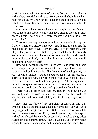scarf, broidered with the loves of Isis and Nephthys, and of Apis and Hathor. Nor did any dare to take from me the little bone that I had won so dearly; and with it I made the spell of the Elixir, and beheld the starry abodes of Duant, even as it was written in the old wise book.

But my guardians were ashamed and perplexed; for though I was so sleek and subtle, yet my manhood already glowed in such deeds as this—how should I truly become the priestess of the Veiled One?

Therefore they kept me closer and nursed me with luxury and flattery. I had two negro slave-boys that fanned me and that fed me; I had an harp-player from the great city of Memphis, that played languorous tunes. But in my mischief I would constantly excite him to thoughts of war and of love; and his music would grow violent and loud, so that the old eunuch, rushing in, would belabour him with his staff.

How well I recall that room! Large was it and lofty; and there were sculptured pillars of malachite and lapis-lazuli and of porphyry and yellow marble. The floor was of black granite; the roof of white marble. On the Southern side was my couch, a softness of exotic furs. To roll in them was to gasp for pleasure. In the centre was a tiny fountain of pure gold. The sunlight came through the space between the walls and the roof, while on the other sides I could look through and up into the infinite blue.

There was a great python that inhabited the hall; but he was very old, and too wise to stir. But—so I then believed—he watched me and conveyed intelligence to the old magus of the well.

Now then the folly of my guardians appeared in this; that while all day I slept and languished and played idly, at night while they supposed I slept, I slept not. But I rose and gave myself to the most violent exercises. First, I would go into my bathing-pool and hold my breath beneath the water while I invoked the goddess Auramoth one hundred times. Next, I would walk on my hands around the room; I even succeeded in hopping on one hand. Next,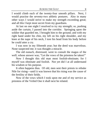I would climb each of the twenty-four smooth pillars. Next, I would practise the seventy-two athletic postures. Also in many other ways I would strive to make my strength exceeding great; and all this I kept most secret from my guardians.

At last on one night I resolved to try my strength; so, pushing aside the curtain, I passed into the corridor. Springing upon the soldier that guarded me, I brought him to the ground; and with my right hand under his chin, my left on his right shoulder, and my knee at the nape of his neck, I tore his head from his body before he could utter a cry.

I was now in my fifteenth year; but the deed was marvelous. None suspected me; it was thought a miracle.

The old eunuch, distressed, went to consult the magus of the well; whose answer was; "Let the vows of the priestess be taken!"

Now I thought this old man most foolish-obstinate; for I myself was obstinate and foolish. Not yet did I at all understand his wisdom or his purpose.

It often happens thus. Of old, men sent their priests to rebuke Nile for rising—until it was known that his rising was the cause of the fertility of their fields.

Now of the vows which I took upon me and of my service as priestess of the Veiled One it shall next be related.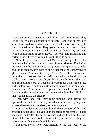#### CHAPTER III

IT was the Equinox of Spring, and all my life stirred in me. They led me down cool colonnades of mighty stone clad in robes of white broidered with silver, and veiled with a veil of fine gold web fastened with rubies. They gave me not the Uraeus crown, nor any nemyss, nor the Ateph crown, but bound my forehead with a simple fillet of green leaves—ver-vain and mandrake and certain deadly herbs of which it is not fitting to speak.

Now the priests of the Veiled One were sore perplexed, for that never before had any boy been chosen priestess. For before the vows may be administered, the proofs of virginity are sought; and, as it seemed, this part of the ritual must be suppressed or glossed over. Then said the High Priest: "Let it be that we examine the first woman that he shall touch with his hand, and she shall suffice." Now when I heard this, I thought to test the God; and, spying in the crowd, I beheld in loose robes with flushed face and wanton eyes, a certain courtesan well-known in the city, and I touched her. Then those of the priests that hated me were glad, for they wished to reject me; and taking aside into the hall of trial that woman, made the enquiry.

Then with robes rent they came running forth, crying out against the Veiled One; for they found her perfect in virginity, and so was she even unto her death, as latter appeared.

But the Veiled One was wroth with them because of this, and appeared in her glittering veil upon the steps of her temple. There she stood, and called them one by one; and she lifted but the eyepiece of her veil and looked into their eyes; and dead they fell before her as if smitten of the light-ning.

But those priests who were friendly to me and loyal to the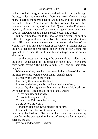goddess took that virgin courtesan, and led her in triumph through the city, veiled and crowned as is befitting. Now after some days he that guarded the sacred goat of Khem died, and they appointed her in his place. And she was the first woman that was thus honoured since the days of the Evil Queen in the Eighteenth Dynasty, of her that wearied of men at an age when other women have not known them, that gave herself to gods and beasts.

But now they took me to the pool of liquid silver—or so they called it; I suppose it was quicksilver; for I remember that it was very difficult to immerse me—which is beneath the feet of the Veiled One. For this is the secret of the Oracle. Standing afar off the priest beholds the reflection of her in the mirror, seeing her lips that move under the veil; and this he interprets to the seeker after truth.

Thus the priest reads wrongly the silence of the Goddess, and the seeker understands ill the speech of the priest. Then come forth fools, saying "The Goddess hath lied"—and in their folly they die.

While, therefore, they held me beneath the surface of the pool, the High Priestess took the vows on my behalf saying:

I swear by the orb of the Moon;

I swear by the circuit of the Stars;

I swear by the Veil, and by the Face behind the Veil;

I swear by the Light Invisible, and by the Visible Darkness; On behalf of this Virgin that is buried in thy water;

To live in purity and service;

To love in beauty and truth;

To guard the Veil from the profane;

To die before the Veil; . . .

—and then came the awful penalty of failure.

I dare not recall half of it; yet in it were these words: Let her be torn by the Phallus of Set, and let her bowels be devoured by Apep; let her be prostituted to the lust of Besz, and let her face be eaten by the god ——.

It is not good to write His name.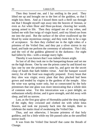Then they loosed me, and I lay smiling in the pool. They lifted me up and brought me to the feet of the goddess, so that I might kiss them. And as I kissed them such a thrill ran through me that I thought myself rapt away into the heaven of Amoun, or even as Asi when Hoor and Hoor-pa-kraat, cleaving her womb, sprang armed to life. Then they stripped me of my robes, and lashed me with fine twigs of virgin hazel, until my blood ran from me into the pool. But the surface of the silver swallowed up the blood by some mysterious energy; and they took this to be a sign of acceptance. So then they clothed me in the right robes of a priestess of the Veiled One; and they put a silver sistron in my hand, and bade me perform the ceremony of adoration. This I did, and the veil of the goddess glittered in the darkness—for night had fallen by this—with a strange starry light.

Thereby it was known that I was indeed chosen aright.

So last of all they took me to the banqueting-house and set me on the high throne. One by one the priests came by and kissed my lips: one by one the priestesses came by, and gave me the secret clasp of hands that hath hidden virtue. And the banquet waxed merry; for all the food was magically prepared. Every beast that they slew was virgin; every plant that they plucked had been grown and tended by virgins in the gardens of the temple. Also the wine was spring water only, but so consecrated by the holy priestesses that one glass was more intoxicating that a whole skin of common wine. Yet this intoxication was a pure delight, an enthusiasm wholly divine; and it gave strength, and did away with sleep, and left no sorrow.

Last, as the first gray glow of Hormakhu paled the deep indigo of the night, they crowned and clothed me with white lotus flowers, and took me joyously back into the temple, there to celebrate the matin ritual of awakening the Veiled One.

Thus, and not otherwise, I became priestess of that holy goddess, and for a little while my life passed calm as the unruffled mirror itself.

It was from the Veiled One herself that came the Breath of Change.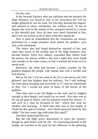On this wise.

In the Seventh Equinox after my initiation into her mystery the High Priestess was found to fail; at her invocation the Veil no longer glittered as was its wont. For this they deemed her impure, and resorted to many ceremonies, but without avail. At last in despair she went to the temple of Set, and gave herself as a victim to that dreadful god. Now all men were much disturbed at this, and it was not known at all of them what they should do.

Now it must be remembered that the ceremonies are always performed by a single priestess alone before the goddess, save only at the Initiations.

The others also had found themselves rejected of her; and when they learnt of the terrible end of the High Priestess, they became fearful. Some few, indeed, concealed their failure from the priests; but always within a day and a night they were found torn asunder in the outer courts; so that it seemed the lesser evil to speak truth.

Moreover, the affair had become a public scandal; for the goddess plagued the people with famine and with a terrible and foul disease.

But as for me, I wot not what to do; for to me always the Veil glittered, and that brighter than the ordinary. Yet I said nothing, but went about drooping and sorrowful, as if I were as unfortunate as they. For I would not seem to boast of the favour of the goddess.

Then they sent to the old Magus in the well; and he laughed outright at their beards, and would say no word. Also they sent to the sacred goat of Khem, and his priestess would but answer, "I, and such as I, may be favoured of Her," which they took for ribaldry and mocking. A third time they sent to the temple of Thoth the Ibis god of wisdom. And Thoth answered them by this riddle: "On how many legs doth mine Ibis stand?"

And they understood him not.

But the old High priest determined to solve the mystery, though he paid forfeit with his life. So concealing himself in the temple, he watched in the pool for the reflection of the glittering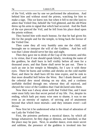of the Veil, while one by one we performed the adorations. And behind him and without stood the priests, watching for him to make a sign. This we knew not; but when it fell to me (the last) to adore that Veiled One, behold! the Veil glittered, and the old Priest threw up his arms to signal that which had occurred. And the flash of the eye pierced the Veil, and he fell from his place dead upon the priests without.

They buried him with much honour, for that he had given his life for the people and for the temple, to bring back the favour of the Veiled One.

Then came they all very humbly unto me the child, and besought me to interpret the will of the Goddess. And her will was that I alone should serve her day and night.

Then they gave me to drink of the Cup of the torment; and this is its virtue, that if one should speak falsely, invoking the name of the goddess, he shall burn in hell visibly before all men for a thousand years; and that flame shall never be put out. There is such an one in her temple in Memphis, for I saw it with these eyes. There he burns and writhes and shrieks on the cold marble floor; and there he shall burn till his time expire, and he sink to that more dreadful hell below the West. But I drank thereof, and the celestial dew stood shining on my skin, and a coolness ineffable thrilled through me; whereat they all rejoiced, and obeyed the voice of the Goddess that I had declared unto them.

Now then was I alway alone with that Veiled One, and I must enter most fully into that secret period of my life. For, despite its ending, which hath put many wise men to shame, it was to me even as an eternity of rapture, of striving and of attainment beyond that which most mortals—and they initiates even!—call divine.

Now first let it be understood what is the ritual of adoration of our Lady the Veiled One.

First, the priestess performs a mystical dance, by which all beings whatsoever, be they dogs or demons, are banished, so that the place may be pure. Next, in another dance, even more secret and sublime, the presence of the goddess is invoked into her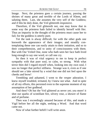Image. Next, the priestess goes a certain journey, passing the shrines of many great and terrible of the Lords of Khem, and saluting them. Last, she assumes the very self of the Goddess; and if this be duly done, the Veil glittereth responsive.

Therefore, if the Veil glittereth not, one may know that in some way the priestess hath failed to identify herself with Her. Thus an impurity in the thought of the priestess must cause her to fail; for the goddess is utterly pure.

Yet the task is alway difficult; for with the other gods one knoweth the appearance of their images; and steadily contemplating these one can easily attain to their imitation, and so to their comprehension, and to unity of consciousness with them. But with Our Veiled One, none who hath seen her face hath lived long enough to say one word, or call one cry.

So then it was of vital urgency to me to keep in perfect sympathy with that pure soul, so calm, so strong. With what terror then did I regard myself when, looking into my own soul, I saw no longer that perfect stillness. Strange was it, even as if one should see a lake stirred by a wind that one did not feel upon the cheeks and brow!

Trembling and ashamed, I went to the vesper adoration. I knew myself troubled, irritated, by I knew not what. And in spite of all my efforts, this persisted even to the supreme moment of my assumption of her godhead.

And then? Oh but the Veil glittered as never yet; yea more! it shot out sparks of scintillant fire, silvery rose, a shower of flame and of perfume.

Then was I exceedingly amazed because of this, and made a Vigil before her all the night, seeking a Word. And that word came not.

Now of what further befell I will write anon.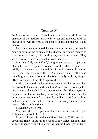## CHAPTER IV

SO it came to pass that I no longer went out at all from the presence of the goddess, save only to eat and to sleep. And the favour of her was restored to the people, so that all men were glad thereof.

For if any man murmured, he was slain incontinent, the people being mindful of the famine and the disease, and being minded to have no more of such, if it could by any means be avoided. They were therefore exceeding punctual with their gifts.

But I was daily more afraid, being in a great sweat of passion, of which I dared to speak to no man. Nor did I dare to speak even privily in mine own heart thereof, lest I should discover its nature. But I sent my favourite, the virgin Istarah (slim, pallid, and trembling as a young lotus in the West Wind), with my ring of office, to enquire of the old Magus of the well.

And he answered her by pointing upward to the sky and then downward to the earth. And I read this Oracle as if it were spoken "As above, so beneath." This came to me as I had flung myself in despair at the feet of my Lady, covering them with my tears; for by a certain manifest token I now knew that I had done a thing that was so dreadful that even now—these many thousand years hence—I dare hardly write it.

I loved the Veiled One.

Yea, with the fierce passion of a beast, of a man, of a god, with my whole soul I loved her.

Even as I knew this by the manifest token the Veil burst into a devouring flame; it ate up the robes of my office, lapping them with its tongues of fire like a tigress lapping blood; yet withal it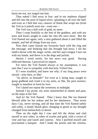burnt me not, nor singed one hair.

Thus naked I fled away in fear, and in my madness slipped and fell into the pool of liquid silver, splashing it all over the hall; and even as I fled that rosy cataract of flame that wrapt me (from the Veil as it jetted) went out—went out—

The Veil was a dull web of gold, no more.

Then I crept fearfully to the feet of the goddess, and with my tears and kisses sought to wake her into life once more. But the Veil flamed not again; only a mist gathered about it and filled the temple, and hid all things from my eyes.

Now then came Istarah my favourite back with the ring and the message; and thinking that she brought bad news, I slit her lamb's-throat with the magic sickle, and her asp's-tongue I tore out with my hands, and threw it to the dogs and jackals.

Herein I erred sorely, for her news was good. Having reflected thereon, I perceived its import.

For since the Veil flamed always at my assumption, it was sure that I was in sympathy with that holy Veiled One.

If I were troubled, and knew not why; if my long peace were stirred—why then, so She!

"As above, so beneath!" For even as I, being man, sought to grasp godhead and crush it in my arms, so She, the pure essence, sought to manifest in form by love.

Yet I dared not repeat the ceremony at midnight.

Instead I lay prone, my arms outstretched in shame and pain, on the steps at her feet.

And lo! the Veil flamed. Then I knew that She too blamed Herself alike for her ardour and for her abstinence. Thus seven days I lay, never stirring; and all that time the Veil flamed subtly and softly, a steady bluish glow changing to green as my thought changed from melancholy to desire.

Then on the eight day I rose and left the shrine and clad myself in new robes, in robes of scarlet and gold, with a crown of vine and bay and laurel and cypress. Also I purified myself and proclaimed a banquet. And I made the priests and the citizens,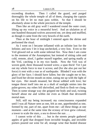exceeding drunken. Then I called the guard, and purged thoroughly the whole temple of all of them, charging the captain on his life to let no man pass within. So that I should be absolutely alone in the whole precincts of the temple.

Then like an old gray wolf I wandered round the outer court, lifting up my voice in a mournful howl. And an ululation as of one hundred thousand wolves answered me, yet deep and muffled, as though it came from the very bowels of the earth.

Then at the hour of midnight I entered again the shrine and performed the ritual.

As I went on I became inflamed with an infinite lust for the Infinite; and now I let it leap unchecked, a very lion. Even so the Veil glowed red as with some infernal fire. Now then I am come to the moment of the Assumption; but instead of sitting calm and cold, remote, aloof, I gather myself together, and spring madly at the Veil, catching it in my two hands. Now the Veil was of woven gold, three thousand twisted wires; a span thick! Yet I put out my whole force to tear it across; and (for she also put out her force) it rent with a roar as of earthquake. Blinded I was with the glory of her face; I should have fallen; but she caught me to her, and fixed her divine mouth on mine, eating me up with the light of her eyes. Her mouth moaned, her throat sobbed with love; her tongue thrust itself into me as a shaft of sunlight smites into the palm-groves; my robes fell shrivelled, and flesh to flesh we clung. Then in some strange way she gripped me body and soul, twining herself about me and within me even as Death that devoureth mortal man.

Still, still my being increased; my consciousness expanded until I was all Nature seen as one, felt as one, apprehended as one, formed by me, part of me, apart from me—all these things at one moment—and at the same time the ecstasy of love grew colossal, a tower to scale the stars, a sea to drown the sun . . .

I cannot write of this . . . but in the streets people gathered apples of gold that dropped from invisible boughs, and invisible porters poured out wine for all, strange wine that healed disease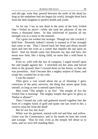and old age, wine that, poured between the teeth of the dead (so long as the embalmer had not begun his work), brought them back from the dark kingdom to perfect health and youth.

As for me, I lay as one dead in the arms of the holy Veiled One—Veiled no more!—while she took her pleasure of me ten times, a thousand times. In that whirlwind of passion all my strength was as a straw in the simoom.

Yet I grew not weaker but stronger. Though my ribs cracked, I held firm. Presently indeed I stirred; it seemed as if her strength had come to me. Thus I forced back her head and thrust myself upon and into her even as a comet that impales the sun upon its horn! And my breath came fast between my lips and hers; her moan now faint, like a dying child, no more like a wild beast in torment.

Even so, wild with the lust of conquest, I urged myself upon her and fought against her. I stretched out her arms and forced them to the ground; then I crossed them on her breast, so that she was powerless. And I became like a mighty serpent of flame, and wrapt her, crushed her in my coils.

I was the master!

Then grew a vast sound about me as of shouting: I grew conscious of the petty universe, the thing that seems apart from oneself, so long as one is oneself apart from it.

Men cried "The temple is on fire! The temple of Asi the Veiled One is burning! The mighty temple that gave its glory to Thebai is aflame!"

Then I loosed my coils and gathered myself together into the form of a mighty hawk of gold and spake one last word to her, a word to raise her from the dead!

But lo! not Asi, but Asar!

White was his garment, starred with red and blue and yellow. Green was his Countenance, and in his hands he bore the crook and scourge. Thus he rose, even as the temple fell about us in ruins, and we were left standing there.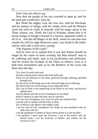And I wist not what to say.

Now then the people of the city crowded in upon us, and for the most part would have slain me.

But Thoth the mighty God, the wise one, with his Ibis-head, and his nemyss of indigo, with his Ateph crown and his Phoenix wand and with his Ankh of emerald, with his magic apron in the Three colours; yea, Thoth, the God of Wisdom, whose skin is of tawny orange as though it burned in a furnace, appeared visibly to all of us. And the old Magus of the Well, whom no man had seen outside his well for nigh threescore years, was found in the midst: and he cried with a loud voice, saying:

"The Equinox of the Gods!"

And he went on to explain how it was that Nature should no longer be the centre of man's worship, but Man himself, man in his suffering and death, man in his purification and perfection. And he recited the Formula of the Osiris as follows, even as it hath been transmitted unto us by the Brethren of the Cross and Rose unto this day:

"For Asar Un-nefer hath said:

He that is found perfect before the Gods hath said:

- These are the elements of my body, perfected through suffering, glorified through trial.
- For the Scent of the dying rose is the repressed sigh of my suffering;

The Flame-Red fire is the energy of my undaunted Will;

- The Cup of Wine is the outpouring of the blood of my heart, sacrificed to regeneration;
- And the Bread and Salt are the Foundations of my Body

Which I destroy in order that they may be renewed.

For I am Asar triumphant, even Asar Un-nefer the Justified One!

I am He who is clothed with the body of flesh,

Yet in Whom is the Spirit of the mighty Gods.

- I am the Lord of Life, triumphant over death; he who partaketh with me shall arise with me.
- I am the manifestor in Matter of those whose abode is in the Invisible.
- I am purified: I stand upon the Universe: I am its Reconciler with the eternal Gods: I am the Perfector of Matter; and without me the Universe is not!"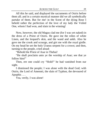All this he said, and displayed the sacraments of Osiris before them all; and in a certain mystical manner did we all symbolically partake of them. But for me! in the Scent of the dying Rose I beheld rather the perfection of the love of my lady the Veiled One, whom I had won, and slain in the winning!

Now, however, the old Magus clad me (for I was yet naked) in the dress of a Priest of Osiris. He gave me the robes of white Linen, and the leopard's skin, and the wand and ankh. Also he gave me the crook and scourge, and girt me with the royal girdle. On my head he set the holy Uraeus serpent for a crown; and then, turning to the people, cried aloud:

"Behold the Priest of Asar in Thebai!

"He shall proclaim unto ye the worship of Asar; see that ye follow him!"

Then, ere one could cry "Hold!" he had vanished from our sight.

I dismissed the people; I was alone with the dead God; with Osiris, the Lord of Amennti, the slain of Typhon, the devoured of Apophis . . .

Yea, verily, I was alone!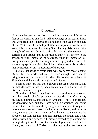### CHAPTER V

NOW then the great exhaustion took hold upon me, and I fell at the feet of the Osiris as one dead. All knowledge of terrestrial things was gone from me; I entered the kingdom of the dead by the gate of the West. For the worship of Osiris is to join the earth to the West; it is the cultus of the Setting Sun. Through Isis man obtains strength of nature; through Osiris he obtains the strength of suffering and ordeal, and as the trained athlete is superior to the savage, so is the magic of Osiris stronger than the magic of Isis. So by my secret practices at night, while my guardians strove to smooth my spirit to a girl's, had I found the power to bring about that tremendous event, an Equinox of the Gods.

Just as thousands of years later was my secret revolt against Osiris—for the world had suffered long enough!—destined to bring about another Equinox in which Horus was to replace the Slain One with his youth and vigour and victory.

I passed therefore into these glowing abodes of Amennti, clad in thick darkness, while my body lay entranced at the feet of the Osiris in the ruined temple.

Now the god Osiris sent forth his strange gloom to cover us, lest the people should perceive or disturb; Therefore I lay peacefully entranced, and abode in Amennti. There I con-fronted the devouring god, and there was my heart weighed and found perfect; there the two-and-forty Judges bade me pass through the pylons they guarded; there I spoke with the Seven, and with the Nine, and with the Thirty-Three; and at the end I came out into the abode of the Holy Hathor, unto her mystical mountain, and being there crowned and garlanded I rejoiced exceedingly, coming out through the gate of the East, the Beautiful gate, unto the Land of Khemi, and the city of Thebai, and the temple that had been the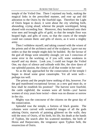temple of the Veiled One. There I rejoined my body, making the magical links in the prescribed manner, and rose up and did adoration to the Osiris by the fourfold sign. Therefore the Light of Osiris began to dawn; it went about the city whirling forth, abounding, crying aloud; whereat the people worshipped, being abased with exceeding fear. Moreover, they hearkened unto their wise men and brought gifts of gold, so that the temple floor was heaped high; and gifts of oxen, so that the courts of the temple could not contain them: and gifts of slaves, as it were a mighty army.

Then I withdrew myself; and taking counsel with the wisest of the priests and of the architects and of the sculptors, I gave out my orders so that the temple might duly be builded. By the favour of the god all things went smoothly enough; yet was I conscious of some error in the working; or if you will, some weakness in myself and my desire. Look you, I could not forget the Veiled One, my days of silence and solitude with Her, the slow dawn of our splendid passion, the climax of all that wonder in her ruin!

So as the day approached for the consecration of the temple I began to dread some great catastrophe. Yet all went well perhaps too well.

The priests and the people knew nothing of this, however. For the god manifested exceptional favour; as a new god must do, or how shall he establish his position? The harvest were fourfold, the cattle eightfold; the women were all fertile—yea! barren women of sixty years bore twins!—there was no disease or sorrow in the city.

Mighty was the concourse of the citizens on the great day of the consecration.

Splendid rose the temple, a fortress of black granite. The columns were carved with wonderful images of all the gods adoring Osiris; marvels of painting glittered on the walls; they told the story of Osiris, of his birth, his life, his death at the hands of Typhon, the search after his scattered members, the birth of Horus and Harpocrates, the vengeance upon Typhon Seth, the resurrection of Osiris.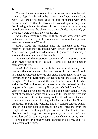The god himself was seated in a throne set back unto the wall. It was of lapis-lazuli and amber, it was inlaid with emerald and ruby. Mirrors of polished gold, of gold burnished with dried poison of asps, so that the slaves who worked upon it might die. For, it being unlawful for those mirrors to have ever reflected any mortal countenance, the slaves were both blinded and veiled; yet even so, it were best that they should die.

At last the ceremony began. With splendid words, with words that shone like flames, did I consecrate all that were there present, even the whole city of Thebai.

And I made the salutation unto the attendant gods, very forcibly, so that they responded with echoes of my adoration. And Osiris accepted mine adoration with gladness as I journeyed about at the four quarters of the temple.

Now cometh the mysterious ceremony of Assumption. I took upon myself the form of the god: I strove to put my heart in harmony with his.

Alas! alas! I was in tune with the dead soul of Isis; my heart was as a flame of elemental lust and beauty; I could not—I could not. Then the heavens lowered and black clouds gathered upon the Firmament of Nu. Dark flames of lightning rent the clouds, giving no light. The thunder roared; the people were afraid. In his dark shrine the Osiris gloomed, dis-pleasure on his forehead, insulted majesty in his eyes. Then a pillar of dust whirled down from the vault of heaven, even unto me as I stood alone, half-defiant, in the midst of the temple while the priests and the people cowered and wailed afar off. It rent the massy roof as it had been a thatch of straw, whirl-ing the blocks of granite far away into the Nile. It descended, roaring and twisting, like a wounded serpent demonking in his death-agony; it struck me and lifted me from the temple; it bore me through leagues of air into the desert; then it dissolved and flung me contemptuously on a hill of sand. Breathless and dazed I lay, anger and anguish tearing at my heart.

I rose to swear a mighty curse; exhaustion took me, and I fell in a swoon to the earth.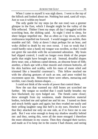When I came to myself it was nigh dawn. I went to the top of the hillock and looked about me. Nothing but sand, sand all ways. Just so was it within my heart!

The only guide for my steps (as the sun rose) was a greener glimpse in the East, which I thought might be the valley of the Nile reflected. Thither I bent my steps: all day I struggled with the scorching heat, the shifting sand. At night I tried to sleep, for sheer fatigue impelled me. But as often as I lay down, so often restlessness impelled me forward. I would stagger on awhile, then stumble and fall. Only at dawn I slept perhaps for an hour, and woke chilled to death by my own sweat. I was so weak that I could hardly raise a hand; my tongue was swollen, so that I could not greet the sun-disk with the accustomed adoration. My brain had slipped control; I could no longer even think of the proper spells that might have brought me aid. Instead, dreadful shapes drew near; one, a hideous camel-demon, an obscene brute of filth; another, a black ape with a blue muzzle and crimson buttocks, all his skin hairless and scabby, with his mass of mane oiled and trimmed like a beautiful courtesan's. This fellow mocked me with the alluring gestures of such an one, and anon voided his excrement upon me. Moreover there were others, menacing and terrible, vast cloudy demon-shapes. . . .

I could not think of the words of power that control them.

Now the sun that warmed my chill bones yet scorched me further. My tongue so swelled that I could hardly breathe; my face blackened; my eyes bulged out. The fiends came closer; drew strength from my weakness, made themselves material bodies, twitched me and spiked me and bit me. I turned on them and struck feebly again and again; but they evaded me easily and their yelling laughter rang like hell's in my ears. Howbeit I saw that they attacked me only on one side, as if to force me to one path. But I was wise enough to keep my shadow steadily behind me: and they, seeing this, were all the more enraged: I therefore the more obstinate in my course. Then they changed their tactics; and made as if to keep me in the course I had chosen; and seeing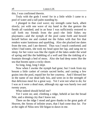this, I was confirmed therein.

Truly with the gods I went! for in a little while I came to a pool of water and a tall palm standing by.

I plunged in that cool wave; my strength came back, albeit slowly; yet with one wave of my hand in the due gesture the fiends all vanished; and in an hour I was sufficiently restored to call forth my friends from the pool—the little fishes my playmates—and the nymph of the pool came forth and bowed herself before me and cooked me the fishes with that fire that renders water luminous and sparkling. Also she plucked me dates from the tree, and I ate thereof. Thus was I much comforted; and when I had eaten, she took my head upon her lap, and sang me to sleep; for her voice was like the ripple of the lakes under the wind of spring and like the bubbling of a well and like the tinkling of a fountain through a bed of moss. Also she had deep notes like the sea that booms upon a rocky shore.

So long, long, long I slept.

Now when I awoke the nymph had gone; but I took from my bosom a little casket of certain sacred herbs; and casting a few grains into the pool, repaid her for her courtesy. And I blessed her in the name of our dead lady Isis, and went on in the strength of that delicious meal for a great way. Yet I wist not what to do; for I was as it were a dead man, although my age was barely two and twenty years.

What indeed should befall me?

Yet I went on; and, climbing a ridge, beheld at last the broad Nile, and a shining city that I knew not.

There on the ridge I stood and gave thanks to the great gods of Heaven, the Aeons of infinite years, that I had come thus far. For at the sight of Nilus new life began to dawn in me.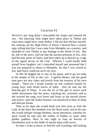### CHAPTER VI

WITHOUT any long delay I descended the slopes and entered the city. Not knowing what might have taken place in Thebai and what news might have come thither, I did not dare declare myself; but seeking out the High Priest of Horus I showed him a certain sign, telling him that I was come from Memphis on a journey, and intended to visit Thebai to pay homage at the shrine of Isis. But he, full of the news, told me that the ancient priestess of Isis, who had become priest of Osiris, had been taken up to heaven as a sign of the signal favour of the God. Whereat I could hardly hold myself from laughter; yet I controlled myself and answered that I was not prepared to return to Memphis, for that I was vowed to Isis, and Osiris could not serve my turn.

At this he begged me to stay as his guest, and to go wor-ship at the temple of Isis in this city. I agreed thereto, and the good man gave me new robes and jewels from the treasury of his own temple. There too I rested sweetly on soft cushions fanned by young boys with broad leaves of palm. Also he sent me the dancing girl of Sleep. It was the art of this girl to weave such subtle movements that the sense, watching her, swooned; and as she swayed she sang, ever lower and lower as she moved slower and slower, until the looker-listener was dissolved in bliss of sleep and delicate dream.

Then as he slept she would bend over him even as Nuit the Lady of the Stars that bendeth over the black earth, and in his ears she would whisper strange rhythms, secret utterances, whereby his spirit would be rapt into the realms of Hathor or some other golden goddess, there in one night to reap an harvest of refreshment such as the fields of mortal sleep yield never.

So then I woke at dawn, to find her still watching, still looking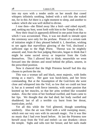into my eyes with a tender smile on her mouth that cooed whispers infinitely soothing. Indeed with a soft kiss she waked me, for in this Art there is a right moment to sleep, and another to waken: which she was well skilled to divine.

I rose then—she flitted away like a bird—and robed myself; and, seeking my host, went forth with him to the Temple of Isis.

Now their ritual (it appeared) differed in one point from that to which I was accustomed. Thus, it was not death to intrude upon the ceremony save only for the profane. Priests of a certain rank of initiation might if they pleased behold it. I, therefore, wishing to see again that marvellous glowing of the Veil, disclosed a sufficient sign to the High Priest. Thereat was he mightily amazed; and, from the foot judging Hercules, began to think that I might be some sacred envoy or inspector from the Gods themselves. This I allowed him to think; meanwhile we went forward into the shrines and stood behind the pillars, unseen, in the prescribed position.

Now it chanced that the High Priestess herself had this day chosen to perform the rite.

This was a woman tall and black, most majestic, with limbs strong as a man's. Her gaze was hawk-keen, and her brow commanding. But at the Assumption of the God-form she went close and whispered into the Veil, so low that we could not hear it; but as it seemed with fierce intensity, with some passion that knotted up her muscles, so that her arms writhed like wounded snakes. Also the veins of her forehead swelled, and foam came to her lips. We thought that she had died; her body swelled and shuddered; last of all a terrible cry burst from her throat, inarticulate, awful.

Yet all this while the Veil glittered, though something sombrely. Also the air was filled with a wild sweeping music, which rent our very ears with its uncouth magic. For it was like no music that I had ever heard before. At last the Priestess tore herself away from the Veil and reeled—as one drunken—down the temple. Sighs and sobs tore her breast; and her nails made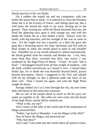bloody grooves in her wet flanks.

On a sudden she espied me and my companion; with one buffet she smote him to earth—it is unlawful to resist the Priestess when she is in the Ecstasy of Union—and falling upon me, like a wild beast she buried her teeth in my neck, bearing me to the ground. Then, loosing me, while the blood streamed from me, she fixed her glittering eyes upon it with strange joy, and with her hands she shook me as a lion shakes a buck. Sinewy were her hands, with big knuckles, and the strength of her was as cords of iron. Yet her might was but a mortal's; in a little she gave one gasp like a drowning man's; her body slackened, and fell with its dead weight on mine, her mouth glued to mine in one dreadful kiss. Dreadful; for as my mouth returned it, almost mechanically, the blood gushed from her nostrils and blinded me. I too, then, more dead than alive, swooned into bliss, into trance. I was awakened by the High Priest of Horus. "Come," he said; "she is dead." I disengaged myself from all that weight of madness—and the body writhed convulsively as I turned it over—I kissed those frothy lips, for in death she was beautiful beyond belief, joyous beyond description—thence I staggered to the Veil, and saluted with all my strength, so that it glittered under the force of my sheer will. Then I turned me again, and with the High Priest sought his house.

Strange indeed was I as I went through the city, my new robes dark with blood of that most holy sorceress.

But no one of the people dared so much as lift his eyes; nor spoke we together at all. But when we were come into the house of the High Priest, sternly did he confront me.

"What is this, my son?"

And I weary of the folly of the world and of the uselessness of things answered him:

"Father, I go back to Memphis. I am the Magus of the Well."

Now he knew the Magus, and answered me:

"Why liest thou?"

And I said "I am come into the world where all speech is false,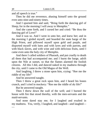and all speech is true."

Then he did me reverence, abasing himself unto the ground even unto nine-and-ninety times.

And I spurned him and said, "Bring forth the dancing girl of Sleep; for in the morning I will away to Memphis."

And she came forth, and I cursed her and cried: "Be thou the dancing girl of Love!"

And it was so. And I went in unto her, and knew her; and in the morning I girded myself, and boarded the state barge of the High Priest, and pillowed myself upon gold and purple, and disported myself with lutes and with lyres and with parrots, and with black slaves, and with wine and with delicious fruits, until I came even unto the holy city of Memphis.

And there I called soldiers of Pharaoh, and put cruelly to death all them that had accompanied me; and I burnt the barge, adrift upon the Nile at sunset, so that the flames alarmed the foolish citizens. All this I did, and danced naked in my madness through the city, until I came to the Old Magus of the Well.

And laughing, I threw a stone upon him, crying: "Ree me the riddle of my life!"

And he answered naught.

Then I threw a great rock upon him, and I heard his bones crunch, and I cried in mockery: "Ree me the riddle of *thy* life!"

But he answered naught.

—

Then I threw down the wall of the well; and I burned the house with fire that stood thereby, with the men-servants and the maid-servants.

And none dared stay me; for I laughed and exulted in my madness. Yea, verily, I laughed, and laughed—and laughed—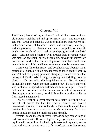### CHAPTER VII

THEN being healed of my madness I took all the treasure of that old Magus which he had laid up for many years—and none gainsaid me. Great and splendid was it of gold more than twelve bullocks could draw, of balassius rubies, and sardonyx, and beryl, and chrysoprase; of diamond and starry sapphire, of emerald much, very much, of topaz and of amethyst great and wonderful gems. Also he had a figure of Nuit greater than a woman, which was made of lapis lazuli specked with gold, carved with marvellous excellence. And he had the secret gem of Hadit that is not found on earth, for that it is invisible save when all else is no more seen.

Then went I into the market and bought slaves. I bought me in particular a giant, a Nubian blacker than polished granite seen by starlight, tall as a young palm and straight, yet more hideous than the Ape of Thoth. Also I bought a young pale stripling from the North, a silly boy with idle languishing ways. But his mouth burned like sunset when the dust-storms blow. So pale and weak was he that all despised him and mocked him for a girl. Then he took a white-hot iron from the fire and wrote with it my name in hieroglyphics on his breast; nor did his smile once alter while the flesh hissed and smoked.

Thus we went out a great caravan to a rocky islet in the Nile, difficult of access for that the waters foamed and swirled dangerously about it. There we builded a little temple shaped like a beehive; but there was no altar and no shrine therein; for in that temple should the god be sacrificed unto himself.

Myself I made the god thereof; I powdered my hair with gold, and inwound it with flowers. I gilded my eyelids, and I stained my lips with vermilion. I gilded my breasts and my nails, and as God and Victim in one was I daily sacrificed unto that strange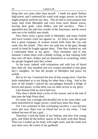thing that was none other than myself. I made my giant Nubian high priest; and I endowed his wand with magic power, so that he might properly perform my rites. This he did to such purpose that many men from Memphis and even from more distant towns, leaving their gods, came thither, and did sacrifice. Then I appointed also the pale boy warder of the Sanctuary: and he swore unto me to be faithful unto death.

Now there arose a great strife in Memphis, and many foolish and lewd women cried out against us. So fierce was the uproar that a great company of women issued forth from the city and came into the island. They slew my pale boy at the gate, though sword in hand he fought against them. Then they frothed on, and I confronted them in my glory. They hesitated, and in that moment I smote them with a deadly itching, so that running forth they tore off their clothes and set themselves to scratching, while my people laughed until they ached.

At the term, indeed, with exhaustion and with loss of blood they died all; four hundred and two women perished in that great day's slaughter. So that the people of Memphis had peace for awhile.

But as for me, I mourned the loss of that young slave. I had his body embalmed as is not fitting for other than a king. And at the door of the temple I placed his sarcophagus beneath a hedge of knives and spears, so that there was no other access to my glory.

Like honour hath no slave had ever.

Thus then I abode three cycles of the season; and at the end of that time the high Priest died.

For mine was a strange and dreadful rite to do; none other, and none unfortified by magic power, could have done this thing.

Yet I too sickened of that everlasting sacrifice. I was become worn and wan; there was no blood but ice in my veins. I had indeed become all but a god . . .

Therefore I took the body of my Nubian, and slew four young girls, and filled all the hollow spaces of his body with their blood. Then too I sealed up his body with eight seals; and the ninth seal was mine own, the centre of my godhead.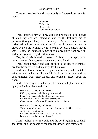Then he rose slowly and staggeringly as I uttered the dreadful words:

> A ka dua Tuf ur biu Bi aa chefu Dudu ner af an nuteru!

Then I touched him with my wand and he rose into full power of his being; and we entered in, and for the last time did he preform (though silent) the ceremony. At whose end he lay shrivelled and collapsed, shrunken like an old wineskin; yet his blood availed me nothing. I was icier than before. Yet now indeed was I Osiris, for I sent out flames of cold gray glory from my skin, and mine eyes were rigid with ecstasy.

Yea, by Osiris himself, I swear it! Even as the eyes of all living men revolve ceaselessly, so were mine fixed!

Then I shook myself and went forth into the city of Memphis, my face being veiled and my steps led by slaves.

And there I went into the temples one by one; and I twitched aside my veil, whereat all men fell dead on the instant, and the gods tumbled from their places, and broke in pieces upon the floor.

And I veiled myself, and went into the market-place and lifted up my voice in a chant and cried:

> Death, and desolation, and despair! I lift up my voice, and all the gods are dumb. I unveil my face, and all that liveth is no more, I sniff up life, and breathe forth destruction. I hear the music of the world, and its echo is Silence.

Death, and desolation, and despair! The parting of the ways is come: the Equinox of the Gods is past. Another day: another way. Let them that hear me be abased before me! Death, and desolation, and despair!

Then I pulled away my veil, and the cold lightnings of death shot forth, and the people of the city fell dead where they stood.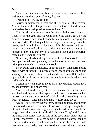Save only one, a young boy, a flute-player, that was blind, and, seeing not those eyes of mine, died not.

Then to him I spake, saying:

"Arise, summon the priests and the people, all that remain. And let them build a temple unto Osiris the God of the dead, and let the dead be worshipped for ever and ever."

This I said, and went out from the city with the two slaves that I had left in the gate, and we went unto Nile, unto a cave by the bank of the river; and there I abode for many months, weeping for Isis my Lady. For though I had avenged her in many dreadful deeds, yet I brought her not back unto life. Moreover the love of her was as it were dead in me, so that my heart stirred not at the thought of her. Say that my love wandered like a ghost unburied, frozen, adrift upon the winds!

Now of my deeds at this period it is almost too horrible to tell. For I performed great penance, in the hope of vitalizing that dead principle in me which men call the soul.

I starved myself shamefully, in this manner. First surrounding myself with all possible luxuries of food, brought in steaming and savoury from hour to hour, I yet condemned myself to subsist upon a little garlic and a little salt, with a little water in which oats had been bruised.

Then if any wish arose in me to eat of the dainties around me I gashed myself with a sharp stone.

Moreover I kindled a great fire in the cave so that the slaves stumbled and fainted as they approached. And the smoke choked me so that I constantly vomited a black and ill-smelling mucus from my lungs, stained here and there with frothing blood.

Again, I suffered my hair to grow exceeding long, and therein I harboured vermin. Also, when I lay down to sleep, though this I did not till with swollen tongue and blackened throat I could no longer howl the name of my dead Lady, then (I say) did I smear my limbs with honey, that the rats of the cave might gnaw them as I slept. Moreover, I pillowed mine head upon a corpse dead of leprosy, and whenever that dead soul of mine stirred at all with love toward my Lady, then I caressed and kissed that corpse, and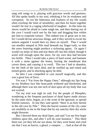sang soft songs to it, playing with gracious words and gestures. All this spoke loudly to my soul, rebuking it for its weakness and corruption. So too the bitterness and foulness of my life would often overleap the limit of sensibility; and then for hours together would I be lost in a raging whirlwind of laughter. At this time my slaves would be afraid to come anigh me, and then darting out of the cave I would catch one by the hair and dragging him within put him to exquisite torture. This indeed was of great use to me; for I would devise atrocious things, and if they served to excite his utmost anguish I would then try them on myself. Thus I would run needles steeped in Nile mud beneath my finger-vails, so that the sores festering might produce a sickening agony. Or again I would cut strips of skin and tear them off; but this failed, though it acted well enough upon the slave, for my own skin had become too brittle. Then I would take a piece of hard wood, and hammer it with a stone against the bones, hurting the membrane that covers them, and causing it to swell. This too I had to abandon, for the limb of the slave died, and he swelled up and rotted and turned green, and in shocking agony he died.

So then I was compelled to cure myself magically, and this was a great loss of force.

Yet was I "Far from the Happy Ones," although my lips hung on my fleshless face like bean-pods withered and blackened, and although there was not one inch of skin upon all my body that was not scarred.

Yet my trial was nigh its end. For the people of Memphis, wondering at the frequent purchases of dead lepers made always by the same slave, began, as is the wont of the ignorant, to spread foolish rumours. At last they said openly "there is an holy hermit in the old cave by Nile." Then the barren women of the city came out stealthily to me in the hope that by my sanctity their dry sticks might blossom.

But I showed them my dead leper, and said "Let me first beget children upon this, and after I will do your business." This liked them not; yet they left me not alone, for they went home and cried out that I was an horror, a ghoul, a vampire. . . . And at that all the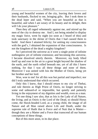young and beautiful women of the city, leaving their lovers and their husbands, flocked to me, bringing gifts. But I took them to the dead leper and said, "When you are beautiful as that is beautiful, and when I am weary of its beauty and its delight, then will I do your pleasure."

Then they all raged vehemently against me, and stirred up the men of the city to destroy me. And I, not being minded to display my magic force, went by night (so soon as I heard of this) and took sanctuary in the shrine of Osiris that I had caused them to build. And there I attained felicity; for uniting my consciousness with the god's, I obtained the expansion of that consciousness. Is not the kingdom of the dead a mighty kingdom?

So I perceived the universe as it were a single point of infinite nothingness yet of infinite extension; and becoming this universe, I became dissolved utterly therein. Moreover, my body lifted itself up and rose in the air to a great height beyond the shadow of the earth, and the earth rolled beneath me; yet of all this I knew nothing, for that I was all these things and none of them. Moreover I was united with Isis the Mother of Osiris, being yet her brother and her lord.

Woe, woe to me! for all this was but partial and imperfect; nor did I truly understand that which occurred.

Only this I knew, that I should return to my city of Thebai, and rule therein as High Priest of Osiris, no longer striving to some end unheard-of or impossible, but quietly and patiently living in the enjoyment of my dignities and wealth, even as a man.

Yet one thing I saw also, that as Isis is the Lady of all Nature, the living; and as Osiris is the Lord of the Dead, so should Horus come, the Hawk-headed Lord, as a young child, the image of all Nature and all Man raised above Life and Death, under the supreme rule of Hadit that is Force and of Nuit that is Matter though they are a Matter and a Force that transcend all our human conceptions of these things.

But of this more anon, in its due place.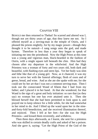#### CHAPTER VIII

BEHOLD me then returned to Thebai! So scarred and altered was I, though not yet thirty years of age, that they knew me not. So I offered myself as a serving-man in the temple of Osiris, and I pleased the priests mightily, for by my magic power—though they thought it to be natural—I sang songs unto the god, and made hymns. Therefore in less than a year they began to speak of initiating me into the priesthood. Now the High Priest at this time was a young and vigorous man, black-bearded in the fashion of Osiris, with a single square tuft beneath the chin. Him had they chosen after my departure in the whirlwind. And the High Priestess was a woman of forty and two years old, both dark and beautiful, with flashing eyes and stern lips. Yet her body was slim and lithe like that of a young girl. Now, as it chanced, it was my turn to serve her with the funeral offerings; flesh of oxen and of geese, bread, and wine. And as she ate she spake with me; for she could see by her art that I was not a common serving-man. Then I took out the consecrated Wand of Khem that I had from my father; and I placed it in her hand. At that she wondered, for that Wand is the sign of a great and holy initiation: so rare that (as they say) no woman but one has ever attained unto it. Then she blessed herself that she had been permitted to look upon it, and prayed me to keep silence for a little while, for she had somewhat in her mind to do. And I lifted up the wand upon her in the nineand-forty-fold benediction, and she received illumination thereof, and rejoiced. Then I fell at her feet—for she was the High Priestess—and kissed them reverently, and withdrew.

Then three days afterwards, as I learnt, she sent for a priestess who was skilled in certain deadly crafts and asked of her a poison. And she gave it, saying: "Let the High Priest of the God of the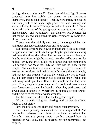dead go down to the dead!" Then that wicked High Priestess conveyed unto him subtly the poison in the sacraments themselves, and he died thereof. Then by her subtlety she caused a certain youth to be made high priest who was slovenly and stupid, thinking in herself "Surely the god will reject him." But at his word the Image of the god glowed as was its wont. And at that she knew—and we all knew—that the glory was departed; for that the priests had supplanted the right ceremony by some trick of deceit and craft.

Thereat was she mightily cast down, for though wicked and ambitious, she had yet much power and knowledge.

But instead of using that power and that knowledge she sought to oppose craft with craft. And suspecting (aright) whose cunning had done this thing she bribed him to reverse the machinery, so that the High Priest might be shamed. But shamed he was not; for he lied, saying that the God glowed brighter than the Sun; and he lied securely, for Maat the Lady of Truth had no place in that temple. To such foulness was all fallen by my first failure to assume the god-form, and their priestly falsehood that my sanctity had rapt me into heaven. Nor had the wealth they lied to obtain availed them aught; for Pharaoh had descended upon Thebai, and laid heavy hand upon the coffers of the temple, so that they were poor. Even, they sold good auguries for gold; and these were a very destruction to them that bought. Then they sold curses, and sowed discord in the city. Wherefore the people grew poorer still, and their gifts to the temple waxed even less.

For there is no foolishness like the hunger after gain.

Of old the gods had given blessing, and the people offered freely of their plenty.

Now the priests sowed chaff, and reaped but barrenness.

So I waited patiently in silence to see what might befall. And this foolish priestess could think of no better expedient than formerly. But this young stupid man had guessed how his predecessor was dead, and he touched not the sacraments; but feigned.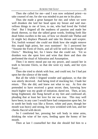Then she called for me—and I was now ordained priest—to take counsel of me; for she was minded to put me in his place.

Thus she made a great banquet for me; and when we were well drunken she laid her head upon my breast and said marvellous things to me of love, to me, who had loved the Veiled One! But I feigned all the madness of passion and made her drunk thereon, so that she talked great words, frothing forth like dead fishes swollen in the sun, of how we should rule Thebai and (it might be) displace Pharaoh and take his throne and sceptre. Yet, foolish woman! she could not think how she might remove this stupid high priest, her own nominee! So I answered her "Assume the Form of Osiris, and all will be well in the Temple of Osiris." Mocking her, for I knew that she could not. Yet so drunken was she upon love and wine that there and then she performed the ritual of Adoration and Assumption.

Then I in merry mood put out my power, and caused her in truth to become Osiris, so that she went icy stark, and her eyes fixed. . . .

Then she tried to shriek with fear, and could not; for I had put upon her the silence of the tomb.

But all the while I feigned wonder and applause, so that she was utterly deceived. And being tired of mocking her, I bade her return. This she did, and knew not what to say. At first she pretended to have received a great secret; then, knowing how much higher was my grade of initiation, dared not. Then, at last, being frightened, she flung herself at my feet and confessed all, pleading that at least her love for me was true. This may well have been; in any case I would have had compassion upon her, for in sooth her body was like a flower, white and pure, though her mouth was heavy and strong, her eyes wrinkled with lust, and her cheeks flaccid with deceit.

So I comforted her, pressing her soft body in mine arms, drinking the wine of her eyes, feeding upon the honey of her mouth.

Then at last I counselled her that she should bid him to a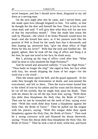secret banquet, and that I should serve them, disguised in my old dress as a serving-man.

On the next night after this he came, and I served them, and she made open love (though feigned) to him. Yet subtly, so that he thought her the deer and himself the lion. Then at last he went clean mad, and said: "I will give thee what thou wilt for one kiss of that thy marvellous mouth." Then she made him swear the oath by Pharaoh—the which if he broke Pharaoh would have his head—and she kissed him once, as if her passion were like the passion of Nile in flood for the sandy bars that it devoureth, and then leaping up, answered him, "give me thine office of High Priest for this my lover!" With that she took and fondled me. He gaped, aghast; then he took off the ring of office and flung it at her feet; he spat one word in her face; he slunk away.

But I, picking up the ring of office, cried after him: "What shall be done to who insulteth the High Priestess?"

And he turned and answered sullenly: "I was the High Priest." "Thou hadst no longer the ring!" she raged at him, her face white with fury, her mouth dripping the foam of her anger—for the word was a vile word! . . .

Then she smote upon the bell, and the guard appeared. At her order they brought the instruments of death, and sum-moned the executioner, and left us there. Then the execu-tioner bound him to the wheel of iron by his ankles and his waist and his throat; and he cut off his eyelids, that he might look upon his death. Then with his shears he cut off the lips from him, saying, "With these lips didst thou blaspheme the Holy One, the Bride of Osiris." Then one by one he wrenched out the teeth of him, saying every time: "With this tooth didst thou frame a blasphemy against the Holy One, the Bride of Osiris." Then he pulled out the tongue with his pincers, saying: "With this tongue didst thou speak blasphemy against the Holy One, the Bride of Osiris." Then took he a strong corrosive acid and blistered his throat therewith, saying: "From this throat didst thou blaspheme the Holy One, the Bride of Osiris." Then he took a rod of steel, white-hot, and burnt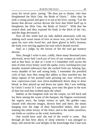away his secret parts, saying: "Be thou put to shame, who hast blasphemed the Holy One, the Bride of Osiris." After that, he took a young jackal and gave it to eat at his liver, saying: "Let the beasts that devour carrion devour the liver that lifted itself up to blaspheme the Holy One, the Bride of Osiris!" With that the wretch died, and they exposed his body in the ditch of the city, and the dogs devoured it.

Now all this while had my lady dallied amorously with me, making such sweet moan of love as never was, yet her face fixed upon his eyes who loved her, and there glared in hell's torment, the body ever striving against the soul which should exceed.

And, as I judge, by the favour of Set the soul gat mastery therein.

Also, though I write it now, coldly, these many thousand years afterward, never had I such joy of love of any woman as with her, and at that hour, so that as I write it I remember well across the mist of time every honey word she spoke, every witching kiss (our mouths strained sideways) that she sucked from my fainting lips, every shudder of her soft strong body. I remember the jewelled coils of hair, how they stung like adders as they touched me; the sharp rapture of her pointed nails pressing me, now velvet-soft, now capricious-cruel, now (love-maddened) thrust deep to draw blood, as they played up and down my spine. But I saw nothing; by Osiris I swear it! I saw nothing, save only the glare in the eyes of that lost soul that writhed upon the wheel.

Indeed, as the hangman took out the corpse, we fell back and lay there among the waste of the banquet, the flagons overturned, the napery awry, the lamps extinct or spilt, the golden cups, chased with obscene images, thrown here and there, the meats hanging over the edge of their bejewelled dishes, their juice staining the white luxury of the linen; and in the midst ourselves, our limbs as careless as the wind, motionless.

One would have said: the end of the world is come. But through all that fiery abyss of sleep wherein I was plunged so deep, still stirred the cool delight of the knowledge that I had won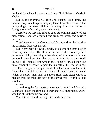the hand for which I played, that I was High Priest of Osiris in Thebai.

But in the morning we rose and loathed each other, our mouths awry, our tongues hanging loose from their corners like thirsty dogs, our eyes blinking in agony from the torture of daylight, our limbs sticky with stale sweat.

Therefore we rose and saluted each other in the dignity of our high offices; and we departed one from the other, and purified ourselves.

Then I went unto the Ceremony of Osiris, and for the last time the shameful farce was played.

But in my heart I vowed secretly to cleanse the temple of its chicanery and folly. Therefore at the end of the ceremony did I perform a mighty banishing, a banishing of all things mortal and immortal, even from Nuit that circleth infinite Space unto Hadit the Core of Things; from Amoun that ruleth before all the Gods unto Python the terrible Serpent that abideth at the end of things, from Ptah the god of the pure soul of aethyr unto Besz the brute force of that which is grosser than earth, which hath no name, which is denser than lead and more rigid than steel; which is blacker than the thick darkness of the abyss, yet is within all and about all.

Amen!

Then during the day I took counsel with myself, and devised a cunning to match the cunning of them that had blasphemed Osiris, who had at last become my God.

Yea! bitterly would I avenge him on the morrow.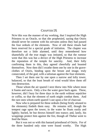# CHAPTER IX

NOW this was the manner of my working, that I inspired the High Priestess to an Oracle, so that she prophesied, saying that Osiris should never be content with his servants unless they had passed the four ordeals of the elements. Now of old these rituals had been reserved for a special grade of initiation. The chapter was therefore not a little alarmed, until they remembered how shamefully all the true magic was imitated, so that the rumour went that this was but a device of the High Priestess to increase the reputation of the temple for sanctity. And, their folly confirming them in this, they agreed cheerfully and boasted themselves. Now then did I swathe them one by one in the graveclothes of Osiris, binding upon the breast and image, truly consecrated, of the god, with a talisman against the four elements.

Then I set them one by one upon a narrow and lofty tower, balanced, so that the least breath of wind would blow them off into destruction.

Those whom the air spared I next threw into Nile where most it foams and races. Only a few the water gave back again. These, however, did I bury for three days in the earth without sepulchre or coffin, so that the element of earth might combat them. And the rare ones whom earth spared I cast upon a fire of charcoal.

Now who is prepared for these ordeals (being firstly attuned to the elements) findeth them easy. He remains still, though the tempest rage upon the tower; in the water he floats easily and lightly; buried, he but throws himself into trance; and, lastly, his wrappings protect him against the fire, though all Thebai went to feed the blaze.

But it was not so with this bastard priesthood of Osiris. For of the three hundred only nine were found worthy. The High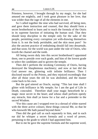Priestess, however, I brought through by my magic, for she had amused me mightily, and I took great pleasure in her love, that was wilder than the rage of all the elements in one.

So I called together the nine who had survived, all being men, and gave them instruction and counsel, that they should form a secret brotherhood to learn and to teach the formula of the Osiris in its supreme function of initiating the human soul. That they should keep discipline in the temple only for the sake of the people, permitting every corruption yet with-drawing themselves from it. Is not the body perishable, and the skin most pure? So also the ancient practice of embalming should fall into desuetude, and that soon; for the world was past under the rule of Osiris, who loveth the charnel and the tomb.

All being sworn duly into this secret brotherhood I appointed them, one to preside over each grade, and him of the lowest grade to select the candidates and to govern the temple.

Then did I perform the invoking Ceremony of Osiris, having destroyed the blasphemous machinery; and now at last did the God answer me, glittering with infinite brilliance. Then I disclosed myself to the Priests, and they rejoiced exceedingly that after all those years the old lie was abolished, and the master come back to his own.

But the god uttered an Oracle, saying: "This last time shall I glitter with brilliance in My temple; for I am the god of Life in Death, concealed. Therefore shall your magic henceforth be a magic most secret in the heart; and whoso shall perform openly any miracle, him shall ye know for a liar and a pretender to the sacred Wisdom.

"For this cause am I wrapped ever in a shroud of white starred with the three active colours; these things conceal Me, so that he who knoweth Me hath passed beyond them."

Then did the god call us each separately to him, and in each ear did he whisper a secret formula and a word of power, pertaining to the grade to which I had appointed him.

But to me he gave the supreme formula and the supreme word,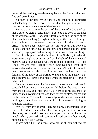the word that hath eight-and-seventy letters, the formula that hath five-and-sixty limbs.

So then I devoted myself there and then to a completer understanding of Osiris my God, so that I might discover his function in the whole course of the Cosmos.

For he that is born in the years of the power of a God thinketh that God to be eternal, one, alone. But he that is born in the hour of the weakness of the God, at the death of one and the birth of the other, seeth something (though it be little) of the course of things. And for him it is necessary to understand fully that change of office (for the gods neither die nor are re-born, but now one initiates and the other guards, and now one heralds and the other sanctifies) its purpose and meaning in the whole scheme of things.

So I, in this year V of the Equinox of the Gods (1908) wherein Horus took the place of Osiris, will by the light of this my magical memory seek to understand fully the formula of Horus—Ra Hoor Khuit—my god, that ruleth the world under Nuit and Hadit. Then as Ankh-f-na-khonsu left unto me the *stelé* 666 with the keys to that knowledge, so also may I write down in hieroglyph the formula of the Lady of the Forked Wand and of the Feather, that shall assume his throne and place when the strength of Horus is exhausted.

So now the service of the Gods was to be secret and their magic concealed from men. They were to fall before the eyes of men from their place, and little sewer-rats were to come and mock at them, no man avenging them, and they utterly careless, not striking for themselves. Yet was there knowledge of them which an initiate might gain, though so much more difficult, immeasurably higher and more intimate.

My life from this moment became highly concentrated upon itself. I had no time either for ascetic practices or for any pleasures; nor would I take any active part in the service of the temple which, purified and regenerated, had become both subtly perfect and perfectly subtle.

It was not all of the people who did at all comprehend the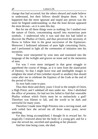change that had occurred; but the others obeyed and made believe to understand, lest their fellows should despise them. So it happened that the more ignorant and stupid any person was the more he feigned understanding; so that the least devout appeared the most devout—as it is unto this day.

But for me all these things were as nothing; for I studied ever the nature of Osiris, concentrating myself into mysterious pure symbols. I understood why it was said that Isis had failed to discover the Phallus of Osiris, and thus perceived the necessity of Horus to follow him in the great succession of the Equinoxes. Moreover I fashioned talismans of pure light concerning Osiris, and I performed in light all the ceremonies of initiation into his mysteries.

These were interpreted by wise men and translated into the language of the twilight and graven on stone and in the memories of men.

Yet was I even more intrigued in that great struggle to apprehend the course of things, as it is seen from the stand-point of Destiny. So that I might leave true and intelligible images to enlighten the mind of him (whether myself or another) that should come after me to celebrate the Equinox of the Gods at the end of the period of Osiris.

As now hath come to pass.

Thus then three-and-thirty years I lived in the temple of Osiris a High Priest; and I subdued all men under me. Also I abolished the office of priestess, for had not Isis failed to find that venerable Phallus without which Osiris must be so melancholy a god? Therefore was Khemi to fall, and the world to be dark and sorrowful for many years.

Therefore I made mine High Priestess into a serving-maid, and with veiled face she served me all those many years, never speaking.

Yet they being accomplished, I thought fit to reward her. So magically I renewed about her the body of a young girl, and for a year she served me, unveiled and speaking at her pleasure.

And her time being come, she died.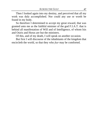Then I looked again into my destiny, and perceived that all my work was duly accomplished. Nor could any use or worth be found in my body.

So therefore I determined to accept my great reward, that was granted unto me as the faithful minister of the god F.I.A.T. that is behind all manifestation of Will and of Intelligence, of whom Isis and Osiris and Horus are but the ministers.

Of this, and of my death, I will speak on another occasion.

But first I will discourse of the inhabitants of the kingdom that encircleth the world, so that they who *fear* may be comforted.